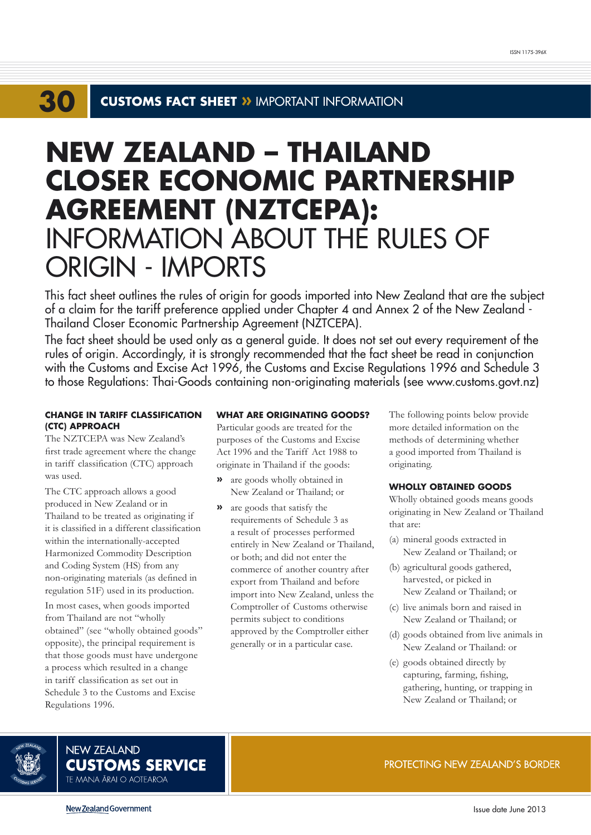## **30 CUSTOMS FACT SHEET »** IMPORTANT INFORMATION

# **NEW ZEALAND – THAILAND CLOSER ECONOMIC PARTNERSHIP AGREEMENT (NZTCEPA):**  INFORMATION ABOUT THE RULES OF ORIGIN - IMPORTS

This fact sheet outlines the rules of origin for goods imported into New Zealand that are the subject of a claim for the tariff preference applied under Chapter 4 and Annex 2 of the New Zealand - Thailand Closer Economic Partnership Agreement (NZTCEPA).

The fact sheet should be used only as a general guide. It does not set out every requirement of the rules of origin. Accordingly, it is strongly recommended that the fact sheet be read in conjunction with the Customs and Excise Act 1996, the Customs and Excise Regulations 1996 and Schedule 3 to those Regulations: Thai-Goods containing non-originating materials (see www.customs.govt.nz)

# **CHANGE IN TARIFF CLASSIFICATION (CTC) APPROACH**

The NZTCEPA was New Zealand's first trade agreement where the change in tariff classification (CTC) approach was used.

The CTC approach allows a good produced in New Zealand or in Thailand to be treated as originating if it is classified in a different classification within the internationally-accepted Harmonized Commodity Description and Coding System (HS) from any non-originating materials (as defined in regulation 51F) used in its production.

In most cases, when goods imported from Thailand are not "wholly obtained" (see "wholly obtained goods" opposite), the principal requirement is that those goods must have undergone a process which resulted in a change in tariff classification as set out in Schedule 3 to the Customs and Excise Regulations 1996.

# **WHAT ARE ORIGINATING GOODS?**

Particular goods are treated for the purposes of the Customs and Excise Act 1996 and the Tariff Act 1988 to originate in Thailand if the goods:

- **»** are goods wholly obtained in New Zealand or Thailand; or
- **»** are goods that satisfy the requirements of Schedule 3 as a result of processes performed entirely in New Zealand or Thailand, or both; and did not enter the commerce of another country after export from Thailand and before import into New Zealand, unless the Comptroller of Customs otherwise permits subject to conditions approved by the Comptroller either generally or in a particular case.

The following points below provide more detailed information on the methods of determining whether a good imported from Thailand is originating.

## **WHOLLY OBTAINED GOODS**

Wholly obtained goods means goods originating in New Zealand or Thailand that are:

- (a) mineral goods extracted in New Zealand or Thailand; or
- (b) agricultural goods gathered, harvested, or picked in New Zealand or Thailand; or
- (c) live animals born and raised in New Zealand or Thailand; or
- (d) goods obtained from live animals in New Zealand or Thailand: or
- (e) goods obtained directly by capturing, farming, fishing, gathering, hunting, or trapping in New Zealand or Thailand; or



**NEW ZEALAND CUSTOMS SERVICE** TE MANA ĀRAI O AOTEAROA

PROTECTING NEW ZEALAND'S BORDER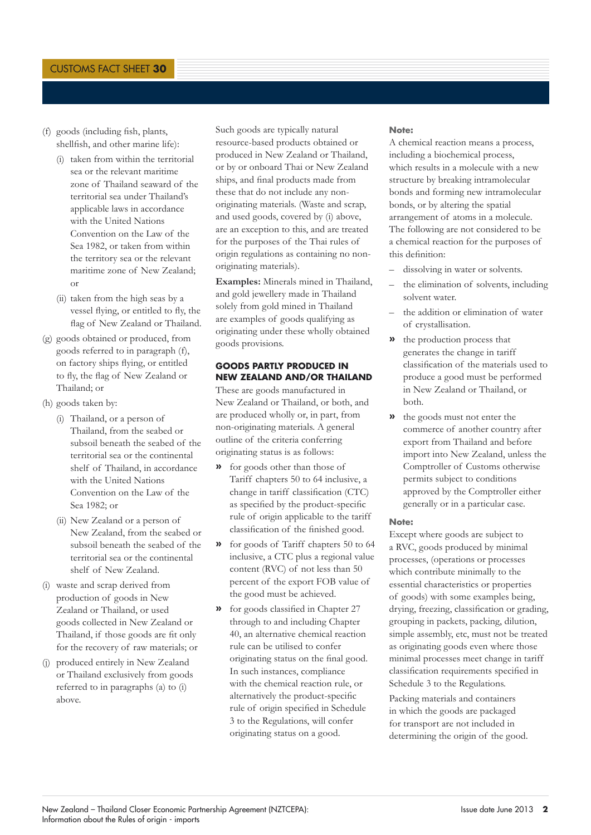- (f) goods (including fish, plants, shellfish, and other marine life):
	- (i) taken from within the territorial sea or the relevant maritime zone of Thailand seaward of the territorial sea under Thailand's applicable laws in accordance with the United Nations Convention on the Law of the Sea 1982, or taken from within the territory sea or the relevant maritime zone of New Zealand; or
	- (ii) taken from the high seas by a vessel flying, or entitled to fly, the flag of New Zealand or Thailand.
- (g) goods obtained or produced, from goods referred to in paragraph (f), on factory ships flying, or entitled to fly, the flag of New Zealand or Thailand; or
- (h) goods taken by:
	- (i) Thailand, or a person of Thailand, from the seabed or subsoil beneath the seabed of the territorial sea or the continental shelf of Thailand, in accordance with the United Nations Convention on the Law of the Sea 1982; or
	- (ii) New Zealand or a person of New Zealand, from the seabed or subsoil beneath the seabed of the territorial sea or the continental shelf of New Zealand.
- (i) waste and scrap derived from production of goods in New Zealand or Thailand, or used goods collected in New Zealand or Thailand, if those goods are fit only for the recovery of raw materials; or
- (j) produced entirely in New Zealand or Thailand exclusively from goods referred to in paragraphs (a) to (i) above.

Such goods are typically natural resource-based products obtained or produced in New Zealand or Thailand, or by or onboard Thai or New Zealand ships, and final products made from these that do not include any nonoriginating materials. (Waste and scrap, and used goods, covered by (i) above, are an exception to this, and are treated for the purposes of the Thai rules of origin regulations as containing no nonoriginating materials).

**Examples:** Minerals mined in Thailand, and gold jewellery made in Thailand solely from gold mined in Thailand are examples of goods qualifying as originating under these wholly obtained goods provisions.

## **GOODS PARTLY PRODUCED IN NEW ZEALAND AND/OR THAILAND**

These are goods manufactured in New Zealand or Thailand, or both, and are produced wholly or, in part, from non-originating materials. A general outline of the criteria conferring originating status is as follows:

- **»** for goods other than those of Tariff chapters 50 to 64 inclusive, a change in tariff classification (CTC) as specified by the product-specific rule of origin applicable to the tariff classification of the finished good.
- **»** for goods of Tariff chapters 50 to 64 inclusive, a CTC plus a regional value content (RVC) of not less than 50 percent of the export FOB value of the good must be achieved.
- **»** for goods classified in Chapter 27 through to and including Chapter 40, an alternative chemical reaction rule can be utilised to confer originating status on the final good. In such instances, compliance with the chemical reaction rule, or alternatively the product-specific rule of origin specified in Schedule 3 to the Regulations, will confer originating status on a good.

### **Note:**

A chemical reaction means a process, including a biochemical process, which results in a molecule with a new structure by breaking intramolecular bonds and forming new intramolecular bonds, or by altering the spatial arrangement of atoms in a molecule. The following are not considered to be a chemical reaction for the purposes of this definition:

- dissolving in water or solvents.
- the elimination of solvents, including solvent water.
- the addition or elimination of water of crystallisation.
- **»** the production process that generates the change in tariff classification of the materials used to produce a good must be performed in New Zealand or Thailand, or both.
- **»** the goods must not enter the commerce of another country after export from Thailand and before import into New Zealand, unless the Comptroller of Customs otherwise permits subject to conditions approved by the Comptroller either generally or in a particular case.

#### **Note:**

Except where goods are subject to a RVC, goods produced by minimal processes, (operations or processes which contribute minimally to the essential characteristics or properties of goods) with some examples being, drying, freezing, classification or grading, grouping in packets, packing, dilution, simple assembly, etc, must not be treated as originating goods even where those minimal processes meet change in tariff classification requirements specified in Schedule 3 to the Regulations.

Packing materials and containers in which the goods are packaged for transport are not included in determining the origin of the good.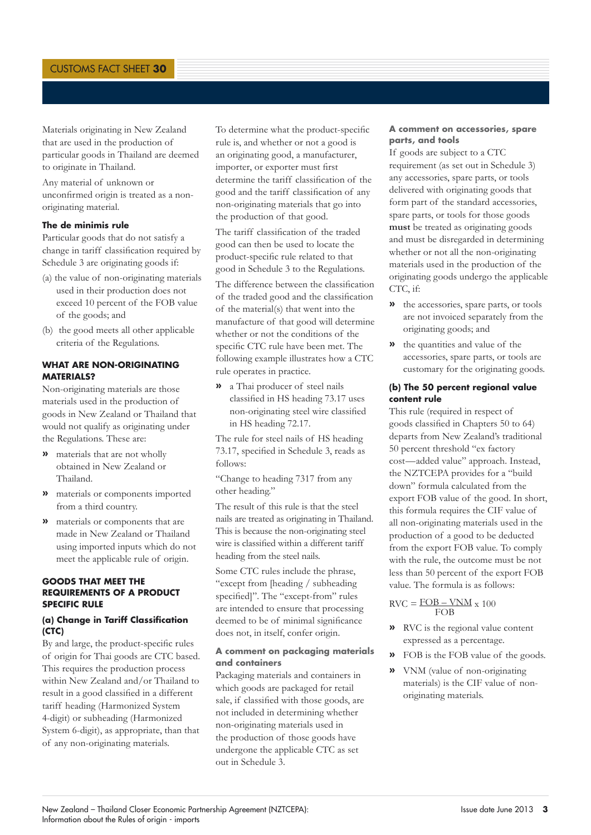Materials originating in New Zealand that are used in the production of particular goods in Thailand are deemed to originate in Thailand.

Any material of unknown or unconfirmed origin is treated as a nonoriginating material.

# **The de minimis rule**

Particular goods that do not satisfy a change in tariff classification required by Schedule 3 are originating goods if:

- (a) the value of non-originating materials used in their production does not exceed 10 percent of the FOB value of the goods; and
- (b) the good meets all other applicable criteria of the Regulations.

## **WHAT ARE NON-ORIGINATING MATERIALS?**

Non-originating materials are those materials used in the production of goods in New Zealand or Thailand that would not qualify as originating under the Regulations. These are:

- **»** materials that are not wholly obtained in New Zealand or Thailand.
- **»** materials or components imported from a third country.
- **»** materials or components that are made in New Zealand or Thailand using imported inputs which do not meet the applicable rule of origin.

## **GOODS THAT MEET THE REQUIREMENTS OF A PRODUCT SPECIFIC RULE**

## **(a) Change in Tariff Classification (CTC)**

By and large, the product-specific rules of origin for Thai goods are CTC based. This requires the production process within New Zealand and/or Thailand to result in a good classified in a different tariff heading (Harmonized System 4-digit) or subheading (Harmonized System 6-digit), as appropriate, than that of any non-originating materials.

To determine what the product-specific rule is, and whether or not a good is an originating good, a manufacturer, importer, or exporter must first determine the tariff classification of the good and the tariff classification of any non-originating materials that go into the production of that good.

The tariff classification of the traded good can then be used to locate the product-specific rule related to that good in Schedule 3 to the Regulations.

The difference between the classification of the traded good and the classification of the material(s) that went into the manufacture of that good will determine whether or not the conditions of the specific CTC rule have been met. The following example illustrates how a CTC rule operates in practice.

**»** a Thai producer of steel nails classified in HS heading 73.17 uses non-originating steel wire classified in HS heading 72.17.

The rule for steel nails of HS heading 73.17, specified in Schedule 3, reads as follows:

"Change to heading 7317 from any other heading."

The result of this rule is that the steel nails are treated as originating in Thailand. This is because the non-originating steel wire is classified within a different tariff heading from the steel nails.

Some CTC rules include the phrase, "except from [heading / subheading specified]". The "except-from" rules are intended to ensure that processing deemed to be of minimal significance does not, in itself, confer origin.

## **A comment on packaging materials and containers**

Packaging materials and containers in which goods are packaged for retail sale, if classified with those goods, are not included in determining whether non-originating materials used in the production of those goods have undergone the applicable CTC as set out in Schedule 3.

## **A comment on accessories, spare parts, and tools**

If goods are subject to a CTC requirement (as set out in Schedule 3) any accessories, spare parts, or tools delivered with originating goods that form part of the standard accessories, spare parts, or tools for those goods **must** be treated as originating goods and must be disregarded in determining whether or not all the non-originating materials used in the production of the originating goods undergo the applicable CTC, if:

- **»** the accessories, spare parts, or tools are not invoiced separately from the originating goods; and
- **»** the quantities and value of the accessories, spare parts, or tools are customary for the originating goods.

## **(b) The 50 percent regional value content rule**

This rule (required in respect of goods classified in Chapters 50 to 64) departs from New Zealand's traditional 50 percent threshold "ex factory cost — added value" approach. Instead, the NZTCEPA provides for a "build down" formula calculated from the export FOB value of the good. In short, this formula requires the CIF value of all non-originating materials used in the production of a good to be deducted from the export FOB value. To comply with the rule, the outcome must be not less than 50 percent of the export FOB value. The formula is as follows:

$$
RVC = \frac{FOB - VNM}{FOB} \times 100
$$

- **»** RVC is the regional value content expressed as a percentage.
- **»** FOB is the FOB value of the goods.
- **»** VNM (value of non-originating materials) is the CIF value of nonoriginating materials.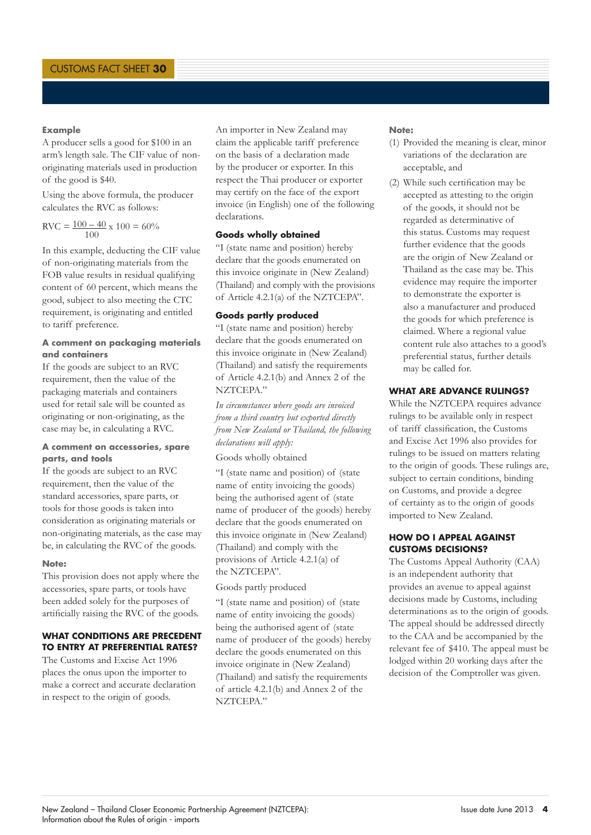## **Example**

A producer sells a good for \$100 in an arm's length sale. The CIF value of nonoriginating materials used in production of the good is \$40.

Using the above formula, the producer calculates the RVC as follows:

$$
RVC = \frac{100 - 40}{100} \times 100 = 60\%
$$

In this example, deducting the CIF value of non-originating materials from the FOB value results in residual qualifying content of 60 percent, which means the good, subject to also meeting the CTC requirement, is originating and entitled to tariff preference.

## **A comment on packaging materials and containers**

If the goods are subject to an RVC requirement, then the value of the packaging materials and containers used for retail sale will be counted as originating or non-originating, as the case may be, in calculating a RVC.

## **A comment on accessories, spare parts, and tools**

If the goods are subject to an RVC requirement, then the value of the standard accessories, spare parts, or tools for those goods is taken into consideration as originating materials or non-originating materials, as the case may be, in calculating the RVC of the goods.

#### **Note:**

This provision does not apply where the accessories, spare parts, or tools have been added solely for the purposes of artificially raising the RVC of the goods.

## **WHAT CONDITIONS ARE PRECEDENT TO ENTRY AT PREFERENTIAL RATES?**

The Customs and Excise Act 1996 places the onus upon the importer to make a correct and accurate declaration in respect to the origin of goods.

An importer in New Zealand may claim the applicable tariff preference on the basis of a declaration made by the producer or exporter. In this respect the Thai producer or exporter may certify on the face of the export invoice (in English) one of the following declarations.

# **Goods wholly obtained**

"I (state name and position) hereby declare that the goods enumerated on this invoice originate in (New Zealand) (Thailand) and comply with the provisions of Article 4.2.1(a) of the NZTCEPA".

#### **Goods partly produced**

"I (state name and position) hereby declare that the goods enumerated on this invoice originate in (New Zealand) (Thailand) and satisfy the requirements of Article 4.2.1(b) and Annex 2 of the NZTCEPA."

*In circumstances where goods are invoiced from a third country but exported directly from New Zealand or Thailand, the following declarations will apply:*

Goods wholly obtained

"I (state name and position) of (state name of entity invoicing the goods) being the authorised agent of (state name of producer of the goods) hereby declare that the goods enumerated on this invoice originate in (New Zealand) (Thailand) and comply with the provisions of Article 4.2.1(a) of the NZTCEPA".

## Goods partly produced

"I (state name and position) of (state name of entity invoicing the goods) being the authorised agent of (state name of producer of the goods) hereby declare the goods enumerated on this invoice originate in (New Zealand) (Thailand) and satisfy the requirements of article 4.2.1(b) and Annex 2 of the NZTCEPA."

#### **Note:**

- (1) Provided the meaning is clear, minor variations of the declaration are acceptable, and
- (2) While such certification may be accepted as attesting to the origin of the goods, it should not be regarded as determinative of this status. Customs may request further evidence that the goods are the origin of New Zealand or Thailand as the case may be. This evidence may require the importer to demonstrate the exporter is also a manufacturer and produced the goods for which preference is claimed. Where a regional value content rule also attaches to a good's preferential status, further details may be called for.

## **WHAT ARE ADVANCE RULINGS?**

While the NZTCEPA requires advance rulings to be available only in respect of tariff classification, the Customs and Excise Act 1996 also provides for rulings to be issued on matters relating to the origin of goods. These rulings are, subject to certain conditions, binding on Customs, and provide a degree of certainty as to the origin of goods imported to New Zealand.

## **HOW DO I APPEAL AGAINST CUSTOMS DECISIONS?**

The Customs Appeal Authority (CAA) is an independent authority that provides an avenue to appeal against decisions made by Customs, including determinations as to the origin of goods. The appeal should be addressed directly to the CAA and be accompanied by the relevant fee of \$410. The appeal must be lodged within 20 working days after the decision of the Comptroller was given.